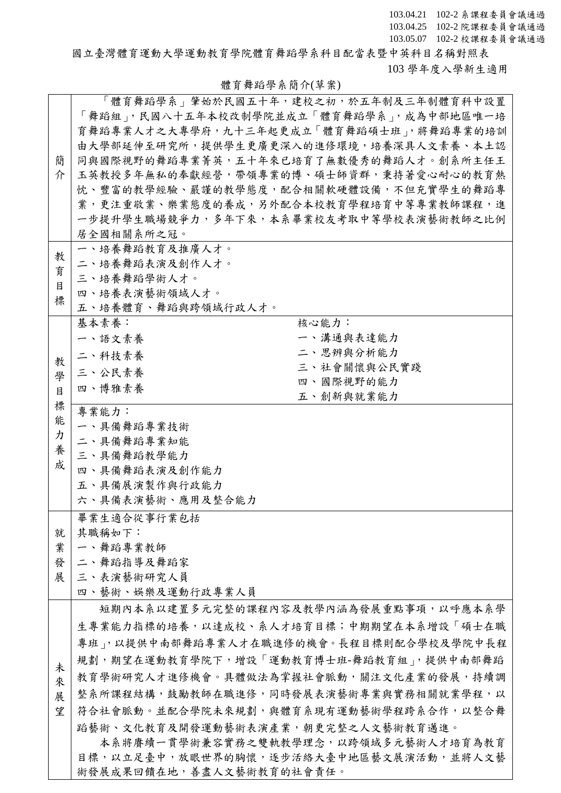103.04.21 102-2 系課程委員會議通過 103.04.25 102-2 院課程委員會議通過 103.05.07 102-2 校課程委員會議通過

國立臺灣體育運動大學運動教育學院體育舞蹈學系科目配當表暨中英科目名稱對照表 103 學年度入學新生適用

## 體育舞蹈學系簡介(草案)

|   | 「體育舞蹈學系」肇始於民國五十年,建校之初,於五年制及三年制體育科中設置    |
|---|-----------------------------------------|
|   | 「舞蹈組」,民國八十五年本校改制學院並成立「體育舞蹈學系」,成為中部地區唯一培 |
|   |                                         |
|   | 育舞蹈專業人才之大專學府,九十三年起更成立「體育舞蹈碩士班」,將舞蹈專業的培訓 |
|   | 由大學部延伸至研究所,提供學生更廣更深入的進修環境,培養深具人文素養、本土認  |
| 簡 | 同與國際視野的舞蹈專業菁英,五十年來已培育了無數優秀的舞蹈人才。創系所主任王  |
| 介 | 玉英教授多年無私的奉獻經營,帶領專業的博、碩士師資群,秉持著愛心耐心的教育熱  |
|   | 忱、豐富的教學經驗、嚴謹的教學態度,配合相關軟硬體設備,不但充實學生的舞蹈專  |
|   | 業,更注重敬業、樂業態度的養成,另外配合本校教育學程培育中等專業教師課程,進  |
|   | 一步提升學生職場競爭力,多年下來,本系畢業校友考取中等學校表演藝術教師之比例  |
|   | 居全國相關系所之冠。                              |
|   | 一、培養舞蹈教育及推廣人才。                          |
| 教 | 二、培養舞蹈表演及創作人才。                          |
| 育 | 三、培養舞蹈學術人才。                             |
| 目 | 四、培養表演藝術領域人才。                           |
| 標 | 五、培養體育、舞蹈與跨領域行政人才。                      |
|   | 基本素養:<br>核心能力:                          |
|   | 一、溝通與表達能力<br>一、語文素養                     |
|   | 二、思辨與分析能力                               |
| 教 | 二、科技素養<br>三、社會關懷與公民實踐                   |
| 學 | 三、公民素養<br>四、國際視野的能力                     |
| 目 | 四、博雅素養                                  |
| 標 | 五、創新與就業能力                               |
| 能 | 專業能力:                                   |
| カ | 一、具備舞蹈專業技術                              |
| 養 | 二、具備舞蹈專業知能                              |
| 成 | 三、具備舞蹈教學能力                              |
|   | 四、具備舞蹈表演及創作能力                           |
|   | 五、具備展演製作與行政能力                           |
|   | 六、具備表演藝術、應用及整合能力                        |
|   | 畢業生適合從事行業包括                             |
| 就 | 其職稱如下:                                  |
| 業 | 一、舞蹈專業教師                                |
| 發 | 二、舞蹈指導及舞蹈家                              |
| 展 | 三、表演藝術研究人員                              |
|   | 四、藝術、娛樂及運動行政專業人員                        |
|   | 短期內本系以建置多元完整的課程內容及教學內涵為發展重點事項,以呼應本系學    |
|   | 生專業能力指標的培養,以達成校、系人才培育目標;中期期望在本系增設「碩士在職  |
|   |                                         |
|   | 專班內以提供中南部舞蹈專業人才在職進修的機會。長程目標則配合學校及學院中長程  |
| 未 | 規劃,期望在運動教育學院下,增設「運動教育博士班-舞蹈教育組」,提供中南部舞蹈 |
| 來 | 教育學術研究人才進修機會。具體做法為掌握社會脈動,關注文化產業的發展,持續調  |
| 展 | 整系所課程結構,鼓勵教師在職進修,同時發展表演藝術專業與實務相關就業學程,以  |
| 望 | 符合社會脈動。並配合學院未來規劃,與體育系現有運動藝術學程跨系合作,以整合舞  |
|   | 蹈藝術、文化教育及開發運動藝術表演產業,朝更完整之人文藝術教育邁進。      |
|   | 本系將賡續一貫學術兼容實務之雙軌教學理念,以跨領域多元藝術人才培育為教育    |
|   |                                         |
|   | 目標,以立足臺中,放眼世界的胸懷,逐步活絡大臺中地區藝文展演活動,並將人文藝  |
|   | 術發展成果回饋在地,善盡人文藝術教育的社會責任。                |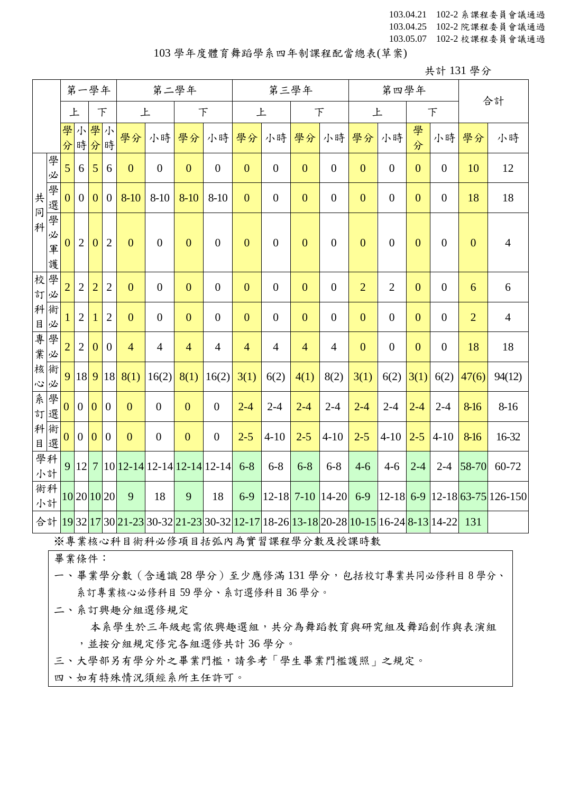103.04.21 102-2 系課程委員會議通過 103.04.25 102-2 院課程委員會議通過 103.05.07 102-2 校課程委員會議通過

#### 103 學年度體育舞蹈學系四年制課程配當總表(草案)

| 共計 131 學分 |  |  |
|-----------|--|--|
|           |  |  |

|                      |             |                |                | 第一學年           |                |                | 第二學年                                                                                                                                                                                                            |                |                  |                  |                  | 第三學年           |                  |                | 第四學年             |                |                  |                |                         |
|----------------------|-------------|----------------|----------------|----------------|----------------|----------------|-----------------------------------------------------------------------------------------------------------------------------------------------------------------------------------------------------------------|----------------|------------------|------------------|------------------|----------------|------------------|----------------|------------------|----------------|------------------|----------------|-------------------------|
|                      |             | 上              |                |                | 下              | 上              |                                                                                                                                                                                                                 | 下              |                  | 上                |                  | $\top$         |                  | 上              |                  |                | $\top$           |                | 合計                      |
|                      |             | 學              | 小              | 學小<br>分時分時     |                | 學分             | 小時                                                                                                                                                                                                              | 學分             | 小時               | 學分               | 小時               | 學分             | 小時               | 學分             | 小時               | 學<br>分         | 小時               | 學分             | 小時                      |
|                      | 學<br>必      | 5 <sup>5</sup> | 6              | 5              | 6              | $\overline{0}$ | $\overline{0}$                                                                                                                                                                                                  | $\overline{0}$ | $\overline{0}$   | $\overline{0}$   | $\overline{0}$   | $\overline{0}$ | $\overline{0}$   | $\overline{0}$ | $\boldsymbol{0}$ | $\mathbf{0}$   | $\boldsymbol{0}$ | 10             | 12                      |
| 共同                   | 學<br>選學     | $\overline{0}$ | $\overline{0}$ | $\mathbf{0}$   | $\overline{0}$ | $8 - 10$       | $8 - 10$                                                                                                                                                                                                        | $8 - 10$       | $8 - 10$         | $\overline{0}$   | $\boldsymbol{0}$ | $\overline{0}$ | $\overline{0}$   | $\mathbf{0}$   | $\boldsymbol{0}$ | $\overline{0}$ | $\boldsymbol{0}$ | 18             | 18                      |
| 科                    | 必<br>軍<br>護 | $\overline{0}$ | $\overline{2}$ | $\overline{0}$ | $\overline{2}$ | $\mathbf{0}$   | $\boldsymbol{0}$                                                                                                                                                                                                | $\overline{0}$ | $\boldsymbol{0}$ | $\boldsymbol{0}$ | $\boldsymbol{0}$ | $\overline{0}$ | $\boldsymbol{0}$ | $\mathbf{0}$   | $\boldsymbol{0}$ | $\mathbf{0}$   | $\boldsymbol{0}$ | $\mathbf{0}$   | $\overline{4}$          |
| 校<br>訂               | 學<br>必      | $\overline{2}$ | $\overline{2}$ | $\overline{2}$ | $\overline{2}$ | $\overline{0}$ | $\overline{0}$                                                                                                                                                                                                  | $\overline{0}$ | $\overline{0}$   | $\overline{0}$   | $\boldsymbol{0}$ | $\overline{0}$ | $\overline{0}$   | $\overline{2}$ | $\overline{2}$   | $\overline{0}$ | $\boldsymbol{0}$ | 6              | 6                       |
| 科<br>E               | 術<br>必      | 1              | $\overline{2}$ | 1              | $\overline{2}$ | $\mathbf{0}$   | $\overline{0}$                                                                                                                                                                                                  | $\overline{0}$ | $\boldsymbol{0}$ | $\boldsymbol{0}$ | $\boldsymbol{0}$ | $\overline{0}$ | $\overline{0}$   | $\mathbf{0}$   | $\boldsymbol{0}$ | $\overline{0}$ | $\boldsymbol{0}$ | $\overline{2}$ | $\overline{4}$          |
| 事業                   | 學<br>必      | $\overline{2}$ | $\overline{2}$ | $\overline{0}$ | $\mathbf{0}$   | $\overline{4}$ | $\overline{4}$                                                                                                                                                                                                  | $\overline{4}$ | $\overline{4}$   | $\overline{4}$   | $\overline{4}$   | $\overline{4}$ | $\overline{4}$   | $\mathbf{0}$   | $\boldsymbol{0}$ | $\overline{0}$ | $\boldsymbol{0}$ | 18             | 18                      |
| 核<br>$\ddot{\omega}$ | 術<br>必      |                | 9 18 9         |                | 18             | 8(1)           | 16(2)                                                                                                                                                                                                           | 8(1)           | 16(2)            | 3(1)             | 6(2)             | 4(1)           | 8(2)             | 3(1)           | 6(2)             | 3(1)           | 6(2)             | 47(6)          | 94(12)                  |
| 系訂                   | 學選          | $\overline{0}$ | $\mathbf{0}$   | $\overline{0}$ | $\overline{0}$ | $\overline{0}$ | $\boldsymbol{0}$                                                                                                                                                                                                | $\overline{0}$ | $\boldsymbol{0}$ | $2 - 4$          | $2 - 4$          | $2 - 4$        | $2 - 4$          | $2 - 4$        | $2 - 4$          | $2 - 4$        | $2 - 4$          | 8-16           | $8 - 16$                |
| 科<br>E               | 術<br>選      | $\overline{0}$ | $\overline{0}$ | $\overline{0}$ | $\overline{0}$ | $\overline{0}$ | $\boldsymbol{0}$                                                                                                                                                                                                | $\overline{0}$ | $\boldsymbol{0}$ | $2 - 5$          | $4 - 10$         | $2 - 5$        | $4 - 10$         | $2 - 5$        | $4 - 10$         | $2 - 5$        | $4 - 10$         | 8-16           | 16-32                   |
|                      | 學科<br>小計    |                | 9 12 7         |                |                |                | $10$ 12-14 12-14 12-14 12-14                                                                                                                                                                                    |                |                  | $6 - 8$          | $6 - 8$          | $6 - 8$        | $6 - 8$          | $4 - 6$        | $4 - 6$          | $2 - 4$        | $2 - 4$          | 58-70          | 60-72                   |
|                      | 術科<br>小計    |                |                |                | 10 20 10 20    | 9              | 18                                                                                                                                                                                                              | 9              | 18               | $6-9$            | $ 12 - 18 $      | $7-10$         | $ 14-20 $        | $6-9$          | $ 12 - 18 $      | $6-9$          |                  |                | $12 - 18$ 63-75 126-150 |
|                      |             |                |                |                |                |                | 合計 <mark>19</mark> 32 <mark>17</mark> 30 <mark>21-23</mark> 30-32 <mark>21-23</mark> 30-32 <mark>12-17</mark> 18-26 <mark>13-18</mark> 20-28 <mark>10-15</mark> 16-24 <mark>8-13</mark> 14-22 <mark> 131</mark> |                |                  |                  |                  |                |                  |                |                  |                |                  |                |                         |

※專業核心科目術科必修項目括弧內為實習課程學分數及授課時數

畢業條件:

一、畢業學分數(含通識 28 學分)至少應修滿 131 學分,包括校訂專業共同必修科目 8 學分、 系訂專業核心必修科目 59 學分、系訂選修科目 36 學分。

二、系訂興趣分組選修規定

本系學生於三年級起需依興趣選組,共分為舞蹈教育與研究組及舞蹈創作與表演組 ,並按分組規定修完各組選修共計 36 學分。

三、大學部另有學分外之畢業門檻,請參考「學生畢業門檻護照」之規定。

四、如有特殊情況須經系所主任許可。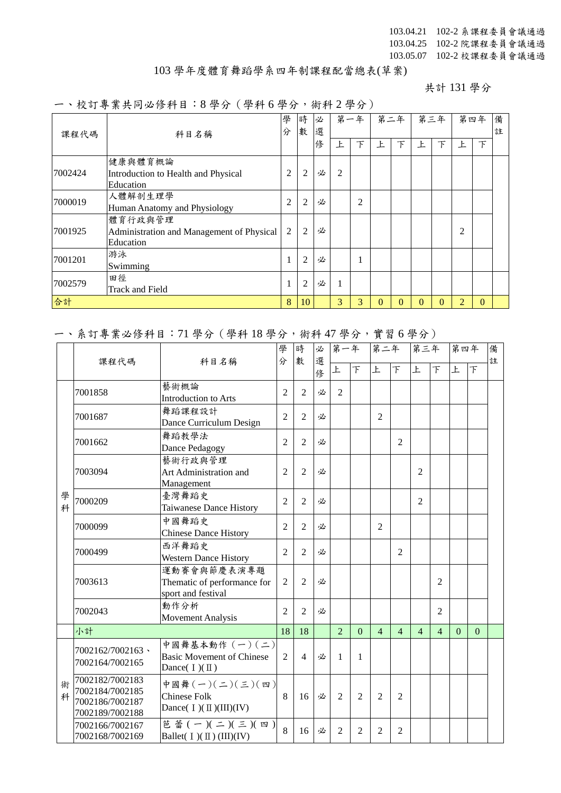103.04.21 102-2 系課程委員會議通過 103.04.25 102-2 院課程委員會議通過 103.05.07 102-2 校課程委員會議通過

### 103 學年度體育舞蹈學系四年制課程配當總表(草案)

共計 131 學分

#### 一、校訂專業共同必修科目:8 學分(學科 6 學分,術科 2 學分)

|         | 科目名稱                                                              |    | 時<br>數         | 必<br>選 |                | 第一年            |    | 第二年      |          | 第三年 |          | 第四年    | 備<br>註 |
|---------|-------------------------------------------------------------------|----|----------------|--------|----------------|----------------|----|----------|----------|-----|----------|--------|--------|
| 課程代碼    |                                                                   | 分  |                | 俢      | Ł              | 下              | Ł. | 下        | 上        | 下   | Ł        | $\top$ |        |
| 7002424 | 健康與體育概論<br>Introduction to Health and Physical<br>Education       | 2  | $\overline{2}$ | 必      | $\overline{c}$ |                |    |          |          |     |          |        |        |
| 7000019 | 人體解剖生理學<br>Human Anatomy and Physiology                           | 2  | $\overline{2}$ | 必      |                | $\overline{2}$ |    |          |          |     |          |        |        |
| 7001925 | 體育行政與管理<br>Administration and Management of Physical<br>Education | 2  | $\overline{2}$ | 必      |                |                |    |          |          |     | 2        |        |        |
| 7001201 | 游泳<br>Swimming                                                    | 1  | $\overline{2}$ | 必      |                | 1              |    |          |          |     |          |        |        |
| 7002579 | 田徑<br>Track and Field                                             | 1  | $\overline{2}$ | 必      | 1              |                |    |          |          |     |          |        |        |
| 合計      | 8                                                                 | 10 |                | 3      | 3              | $\Omega$       | 0  | $\Omega$ | $\Omega$ | 2   | $\Omega$ |        |        |

### 一、系訂專業必修科目:71 學分(學科 18 學分,術科 47 學分,實習 6 學分)

|        |                                                                          |                                                                       |                | 學<br>時                   | 必      | 第一年            |                | 第二年            |                | 第三年            |                | 第四年      |                | 備 |
|--------|--------------------------------------------------------------------------|-----------------------------------------------------------------------|----------------|--------------------------|--------|----------------|----------------|----------------|----------------|----------------|----------------|----------|----------------|---|
|        | 課程代碼                                                                     | 科目名稱                                                                  | 分              | 數                        | 選<br>俢 | 上              | $\overline{F}$ | 上              | $\top$         | 上              | $\top$         | 上        | $\overline{F}$ | 註 |
|        | 7001858                                                                  | 藝術概論<br>Introduction to Arts                                          | $\overline{2}$ | $\overline{2}$           | 必      | 2              |                |                |                |                |                |          |                |   |
|        | 7001687                                                                  | 舞蹈課程設計<br>Dance Curriculum Design                                     | $\overline{2}$ | $\overline{2}$           | 必      |                |                | $\overline{2}$ |                |                |                |          |                |   |
|        | 7001662                                                                  | 舞蹈教學法<br>Dance Pedagogy                                               | $\overline{2}$ | $\mathfrak{D}$           | 必      |                |                |                | $\overline{2}$ |                |                |          |                |   |
|        | 7003094                                                                  | 藝術行政與管理<br>Art Administration and<br>Management                       | $\overline{c}$ | 2                        | 必      |                |                |                |                | $\overline{2}$ |                |          |                |   |
| 學<br>科 | 7000209                                                                  | 臺灣舞蹈史<br>Taiwanese Dance History                                      | $\overline{2}$ | $\overline{2}$           | 必      |                |                |                |                | $\overline{2}$ |                |          |                |   |
|        | 7000099                                                                  | 中國舞蹈史<br><b>Chinese Dance History</b>                                 | $\overline{2}$ | $\overline{c}$           | 必      |                |                | $\overline{2}$ |                |                |                |          |                |   |
|        | 7000499                                                                  | 西洋舞蹈史<br><b>Western Dance History</b>                                 | $\overline{2}$ | $\mathfrak{D}$           | 必      |                |                |                | $\mathfrak{D}$ |                |                |          |                |   |
|        | 7003613                                                                  | 運動賽會與節慶表演專題<br>Thematic of performance for<br>sport and festival      | $\mathfrak{2}$ | $\overline{2}$           | 必      |                |                |                |                |                | $\overline{2}$ |          |                |   |
|        | 7002043                                                                  | 動作分析<br><b>Movement Analysis</b>                                      | $\overline{2}$ | 2                        | 必      |                |                |                |                |                | $\overline{2}$ |          |                |   |
|        | 小計                                                                       |                                                                       | 18             | 18                       |        | $\overline{2}$ | $\overline{0}$ | $\overline{4}$ | $\overline{4}$ | $\overline{4}$ | $\overline{4}$ | $\Omega$ | $\theta$       |   |
|        | 7002162/7002163 \<br>7002164/7002165                                     | 中國舞基本動作 (一)(二)<br><b>Basic Movement of Chinese</b><br>Dance( $I)(II)$ | $\overline{2}$ | $\overline{\mathcal{A}}$ | 必      | $\mathbf{1}$   | $\mathbf{1}$   |                |                |                |                |          |                |   |
| 術<br>科 | 7002182/7002183<br>7002184/7002185<br>7002186/7002187<br>7002189/7002188 | 中國舞(一)(二)(三)(四)<br><b>Chinese Folk</b><br>Dance( $I)(II)(III)(IV)$    | 8              | 16                       | 必      | $\overline{2}$ | 2              | $\overline{2}$ | $\overline{c}$ |                |                |          |                |   |
|        | 7002166/7002167<br>7002168/7002169                                       | 芭蕾(一)(二)(三)(四)<br>Ballet( $I)(II)(III)(IV)$                           | 8              | 16                       | 必      | $\overline{2}$ | 2              | $\overline{2}$ | 2              |                |                |          |                |   |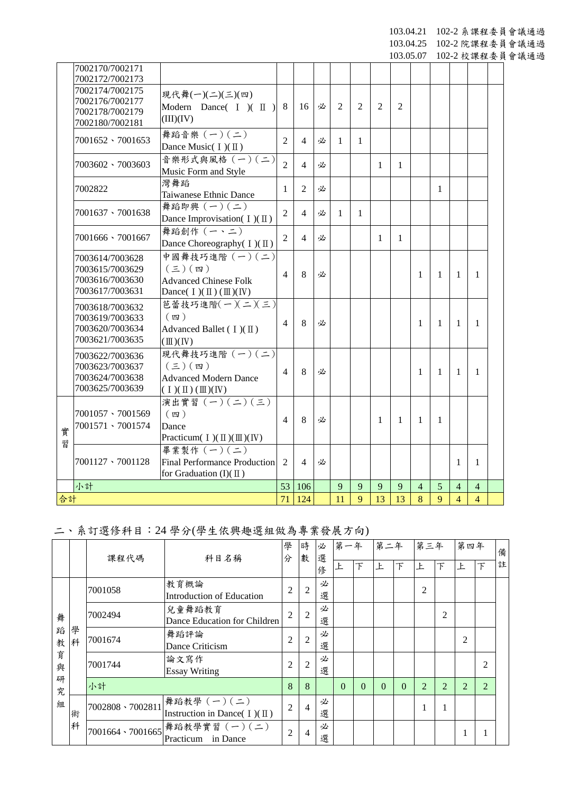103.04.21 102-2 系課程委員會議通過

103.04.25 102-2 院課程委員會議通過

103.05.07 102-2 校課程委員會議通過

|        | 7002170/7002171<br>7002172/7002173                                       |                                                                                                       |                |                |   |                |   |                |                |                |              |                |                |  |
|--------|--------------------------------------------------------------------------|-------------------------------------------------------------------------------------------------------|----------------|----------------|---|----------------|---|----------------|----------------|----------------|--------------|----------------|----------------|--|
|        | 7002174/7002175<br>7002176/7002177<br>7002178/7002179<br>7002180/7002181 | 現代舞(一)(二)(三)(四)<br>Modern Dance( $I$ )( $II$ )<br>(III)(IV)                                           | 8              | 16             | 必 | $\overline{2}$ | 2 | $\overline{2}$ | $\overline{2}$ |                |              |                |                |  |
|        | $7001652 \cdot 7001653$                                                  | 舞蹈音樂 (一)(二)<br>Dance Music( I)(II)                                                                    | $\overline{2}$ | $\overline{4}$ | 必 | $\mathbf{1}$   | 1 |                |                |                |              |                |                |  |
|        | 7003602 \ 7003603                                                        | 音樂形式與風格 (一)(二)<br>Music Form and Style                                                                | $\overline{2}$ | $\overline{4}$ | 必 |                |   | $\mathbf{1}$   | 1              |                |              |                |                |  |
|        | 7002822                                                                  | 灣舞蹈<br>Taiwanese Ethnic Dance                                                                         | 1              | $\overline{2}$ | 必 |                |   |                |                |                | $\mathbf{1}$ |                |                |  |
|        | 7001637 \7001638                                                         | 舞蹈即興 $(-)(-)$<br>Dance Improvisation( $I)(II)$                                                        | $\overline{2}$ | $\overline{4}$ | 必 | $\mathbf{1}$   | 1 |                |                |                |              |                |                |  |
|        | $7001666 \cdot 7001667$                                                  | 舞蹈創作 (一、二)<br>Dance Choreography( I)(II)                                                              | $\overline{2}$ | $\overline{4}$ | 必 |                |   | 1              | 1              |                |              |                |                |  |
|        | 7003614/7003628<br>7003615/7003629<br>7003616/7003630<br>7003617/7003631 | 中國舞技巧進階 (一)(二)<br>$(\Xi)(\mathfrak{w})$<br><b>Advanced Chinese Folk</b><br>Dance( $I)(II)(III)(IV)$   | $\overline{4}$ | 8              | 必 |                |   |                |                | 1              | 1            | $\mathbf{1}$   | $\mathbf{1}$   |  |
|        | 7003618/7003632<br>7003619/7003633<br>7003620/7003634<br>7003621/7003635 | 芭蕾技巧進階(一)(二)(三)<br>$(\nabla)$<br>Advanced Ballet ( $I$ )( $II$ )<br>$(\mathbb{II})(\mathbb{N})$       | 4              | 8              | 必 |                |   |                |                | 1              | 1            | 1              | $\mathbf{1}$   |  |
|        | 7003622/7003636<br>7003623/7003637<br>7003624/7003638<br>7003625/7003639 | 現代舞技巧進階 (一) (二)<br>$(\boldsymbol{\Xi})$ (四)<br><b>Advanced Modern Dance</b><br>$(\Pi)(\Pi)(\Pi)(\Pi)$ | 4              | 8              | 必 |                |   |                |                | 1              | 1            | $\mathbf{1}$   | 1              |  |
| 實<br>習 | $7001057 \cdot 7001569$<br>7001571 \ 7001574                             | 演出實習 (一) (二) (三)<br>$(\n$ 四 )<br>Dance<br>Practicum( $I$ )( $II$ )( $III$ )( IV)                      | $\overline{4}$ | 8              | 必 |                |   | $\mathbf{1}$   | 1              | 1              | 1            |                |                |  |
|        | $7001127 \cdot 7001128$                                                  | 畢業製作 (一) (二)<br><b>Final Performance Production</b><br>for Graduation $(I)(\mathbb{I})$               | $\overline{2}$ | $\overline{4}$ | 必 |                |   |                |                |                |              | $\mathbf{1}$   | 1              |  |
|        | 小計                                                                       |                                                                                                       | 53             | 106            |   | 9              | 9 | 9              | 9              | $\overline{4}$ | 5            | $\overline{4}$ | $\overline{4}$ |  |
| 合計     |                                                                          |                                                                                                       | 71             | 124            |   | 11             | 9 | 13             | 13             | 8              | 9            | $\overline{4}$ | $\overline{4}$ |  |

# 二、系訂選修科目:24 學分(學生依興趣選組做為專業發展方向)

|                       |        |                  | 課程代碼<br>科目名稱                                    |                | 學<br>分         | 時<br>數 | 必<br>選   | 第一年            |          | 第二年      |                | 第三年            |                | 第四年            |   | 備 |
|-----------------------|--------|------------------|-------------------------------------------------|----------------|----------------|--------|----------|----------------|----------|----------|----------------|----------------|----------------|----------------|---|---|
|                       |        |                  |                                                 |                |                | 俢      | 上        | $\overline{F}$ | F        | 下        | F.             | 下              | <b>F</b>       | $\overline{F}$ | 註 |   |
|                       |        | 7001058          | 教育概論<br>Introduction of Education               | $\overline{2}$ | $\overline{2}$ | 必<br>選 |          |                |          |          | $\overline{2}$ |                |                |                |   |   |
| 舞<br>蹈<br>教<br>育<br>與 |        | 7002494          | 兒童舞蹈教育<br>Dance Education for Children          | $\overline{c}$ | 2              | 必<br>選 |          |                |          |          |                | 2              |                |                |   |   |
|                       | 學<br>科 | 7001674          | 舞蹈評論<br>Dance Criticism                         | $\overline{2}$ | 2              | 必<br>選 |          |                |          |          |                |                | $\overline{2}$ |                |   |   |
|                       |        | 7001744          | 論文寫作<br><b>Essay Writing</b>                    | $\overline{2}$ | $\overline{2}$ | 必<br>選 |          |                |          |          |                |                |                | 2              |   |   |
| 研<br>究                |        | 小計               |                                                 | 8              | 8              |        | $\Omega$ | $\Omega$       | $\theta$ | $\Omega$ | 2              | $\overline{2}$ | $\overline{2}$ | $\overline{2}$ |   |   |
| 組<br>術                |        | 7002808 \7002811 | 舞蹈教學 (一)(二)<br>Instruction in Dance( $I)(II)$ ) | $\overline{2}$ | 4              | 必<br>選 |          |                |          |          |                | -1             |                |                |   |   |
|                       | 科      | 7001664、7001665  | 舞蹈教學實習 (一)(二)<br>in Dance<br>Practicum          | $\overline{c}$ | 4              | 必<br>選 |          |                |          |          |                |                |                |                |   |   |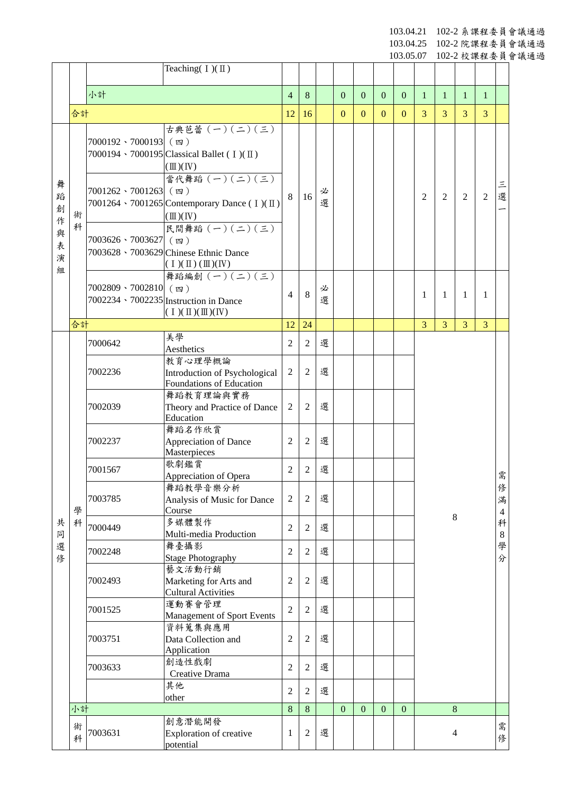103.04.21 102-2 系課程委員會議通過

103.04.25 102-2 院課程委員會議通過

103.05.07 102-2 校課程委員會議通過

|                  |        |                             | Teaching( $I)(II)$                                                                                      |                |                |        |                |                |              |              |                |                |                |                |                          |
|------------------|--------|-----------------------------|---------------------------------------------------------------------------------------------------------|----------------|----------------|--------|----------------|----------------|--------------|--------------|----------------|----------------|----------------|----------------|--------------------------|
|                  |        |                             |                                                                                                         |                |                |        |                |                |              |              |                |                |                |                |                          |
|                  |        | 小計                          |                                                                                                         | $\overline{4}$ | 8              |        | $\mathbf{0}$   | $\overline{0}$ | $\mathbf{0}$ | $\mathbf{0}$ | $\mathbf{1}$   | $\mathbf{1}$   | 1              | $\mathbf{1}$   |                          |
|                  | 合計     |                             |                                                                                                         | 12             | 16             |        | $\overline{0}$ | $\mathbf{0}$   | $\theta$     | $\mathbf{0}$ | $\overline{3}$ | 3              | 3              | $\overline{3}$ |                          |
|                  |        | 7000192、7000193 (四)         | 古典芭蕾 (一) (二) (三)<br>7000194 ⋅ 7000195 Classical Ballet (I)(II)<br>$(\mathbb{II})(\mathbb{N})$           |                |                |        |                |                |              |              |                |                |                |                |                          |
| 舞<br>蹈<br>創<br>作 | 術      | $7001262 \cdot 7001263$ (四) | 當代舞蹈 (一) (二) (三)<br>7001264 \cdot 7001265 Contemporary Dance (I)(II)<br>$(\mathbb{II})(\mathbb{N})$     | 8              | 16             | 必<br>選 |                |                |              |              | $\overline{2}$ | 2              | $\overline{2}$ | 2              | $\equiv$<br>選            |
| 與<br>表<br>演      | 科      | $7003626 \cdot 7003627$ (四) | 民間舞蹈 (一) (二) (三)<br>7003628 \ 7003629 Chinese Ethnic Dance<br>$(1)(\mathbb{I})(\mathbb{I})(\mathbb{N})$ |                |                |        |                |                |              |              |                |                |                |                |                          |
| 組                |        | 7002809、7002810 (四)         | 舞蹈編創 (一) (二) (三)<br>7002234 \ 7002235 Instruction in Dance<br>$(1)(\mathbb{I})(\mathbb{I})(\mathbb{N})$ | 4              | 8              | 必<br>選 |                |                |              |              | 1              | 1              | 1              | 1              |                          |
|                  | 合計     |                             |                                                                                                         | 12             | 24             |        |                |                |              |              | $\overline{3}$ | $\overline{3}$ | $\overline{3}$ | $\overline{3}$ |                          |
|                  |        | 7000642                     | 美學<br>Aesthetics                                                                                        | $\overline{c}$ | $\overline{2}$ | 選      |                |                |              |              |                |                |                |                |                          |
|                  |        | 7002236                     | 教育心理學概論<br>Introduction of Psychological<br>Foundations of Education                                    | $\overline{2}$ | $\overline{2}$ | 選      |                |                |              |              |                |                |                |                |                          |
|                  |        | 7002039                     | 舞蹈教育理論與實務<br>Theory and Practice of Dance<br>Education                                                  | $\overline{c}$ | $\overline{2}$ | 選      |                |                |              |              |                |                |                |                |                          |
|                  |        | 7002237                     | 舞蹈名作欣賞<br>Appreciation of Dance<br>Masterpieces                                                         | 2              | 2              | 選      |                |                |              |              |                |                |                |                |                          |
|                  |        | 7001567                     | 歌劇鑑賞<br>Appreciation of Opera                                                                           | $\overline{2}$ | $\overline{2}$ | 選      |                |                |              |              |                |                |                | 需              |                          |
|                  | 學      | 7003785                     | 舞蹈教學音樂分析<br>Analysis of Music for Dance<br>Course                                                       | 2              | $\overline{2}$ | 選      |                |                |              |              |                | $\,8\,$        |                |                | 俢<br>滿<br>$\overline{4}$ |
| 共<br>同           | 科      | 7000449                     | 多媒體製作<br>Multi-media Production                                                                         | $\overline{2}$ | $\sqrt{2}$     | 選      |                |                |              |              |                |                |                |                | 科<br>$\,8$               |
| 選<br>俢           |        | 7002248                     | 舞臺攝影<br><b>Stage Photography</b>                                                                        | $\overline{2}$ | $\overline{2}$ | 選      |                |                |              |              |                |                |                |                | 學<br>分                   |
|                  |        | 7002493                     | 藝文活動行銷<br>Marketing for Arts and<br><b>Cultural Activities</b>                                          | $\overline{c}$ | $\overline{c}$ | 選      |                |                |              |              |                |                |                |                |                          |
|                  |        | 7001525                     | 運動賽會管理<br>Management of Sport Events                                                                    | $\overline{2}$ | 2              | 選      |                |                |              |              |                |                |                |                |                          |
|                  |        | 7003751                     | 資料蒐集與應用<br>Data Collection and<br>Application                                                           | $\overline{2}$ | 2              | 選      |                |                |              |              |                |                |                |                |                          |
|                  |        | 7003633                     | 創造性戲劇<br>Creative Drama                                                                                 | $\overline{2}$ | $\overline{2}$ | 選      |                |                |              |              |                |                |                |                |                          |
|                  |        |                             | 其他<br>other                                                                                             | 2              | 2              | 選      |                |                |              |              |                |                |                |                |                          |
|                  | 小計     |                             |                                                                                                         | 8              | $\,8\,$        |        | $\overline{0}$ | $\mathbf{0}$   | $\theta$     | $\mathbf{0}$ |                | $\bf 8$        |                |                |                          |
|                  | 術<br>科 | 7003631                     | 創意潛能開發<br>Exploration of creative<br>potential                                                          | 1              | 2              | 選      |                |                |              |              |                | $\overline{4}$ |                |                | 需<br>俢                   |